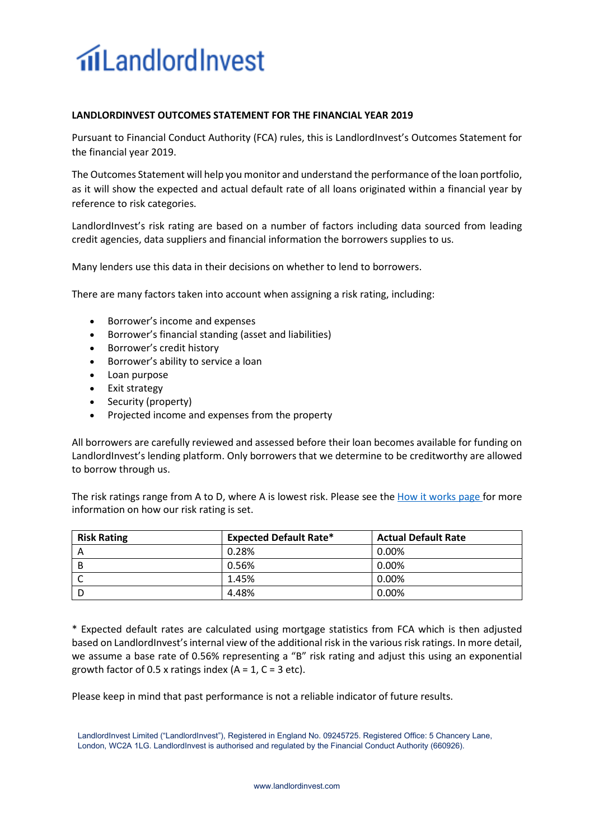## **filLandlordInvest**

## **LANDLORDINVEST OUTCOMES STATEMENT FOR THE FINANCIAL YEAR 2019**

Pursuant to Financial Conduct Authority (FCA) rules, this is LandlordInvest's Outcomes Statement for the financial year 2019.

The Outcomes Statement will help you monitor and understand the performance of the loan portfolio, as it will show the expected and actual default rate of all loans originated within a financial year by reference to risk categories.

LandlordInvest's risk rating are based on a number of factors including data sourced from leading credit agencies, data suppliers and financial information the borrowers supplies to us.

Many lenders use this data in their decisions on whether to lend to borrowers.

There are many factors taken into account when assigning a risk rating, including:

- Borrower's income and expenses
- Borrower's financial standing (asset and liabilities)
- Borrower's credit history
- Borrower's ability to service a loan
- Loan purpose
- Exit strategy
- Security (property)
- Projected income and expenses from the property

All borrowers are carefully reviewed and assessed before their loan becomes available for funding on LandlordInvest's lending platform. Only borrowers that we determine to be creditworthy are allowed to borrow through us.

The risk ratings range from A to D, where A is lowest risk. Please see the How it works page for more information on how our risk rating is set.

| <b>Risk Rating</b> | <b>Expected Default Rate*</b> | <b>Actual Default Rate</b> |
|--------------------|-------------------------------|----------------------------|
|                    | 0.28%                         | 0.00%                      |
| В                  | 0.56%                         | 0.00%                      |
|                    | 1.45%                         | 0.00%                      |
|                    | 4.48%                         | 0.00%                      |

\* Expected default rates are calculated using mortgage statistics from FCA which is then adjusted based on LandlordInvest's internal view of the additional risk in the various risk ratings. In more detail, we assume a base rate of 0.56% representing a "B" risk rating and adjust this using an exponential growth factor of 0.5 x ratings index  $(A = 1, C = 3$  etc).

Please keep in mind that past performance is not a reliable indicator of future results.

LandlordInvest Limited ("LandlordInvest"), Registered in England No. 09245725. Registered Office: 5 Chancery Lane, London, WC2A 1LG. LandlordInvest is authorised and regulated by the Financial Conduct Authority (660926).